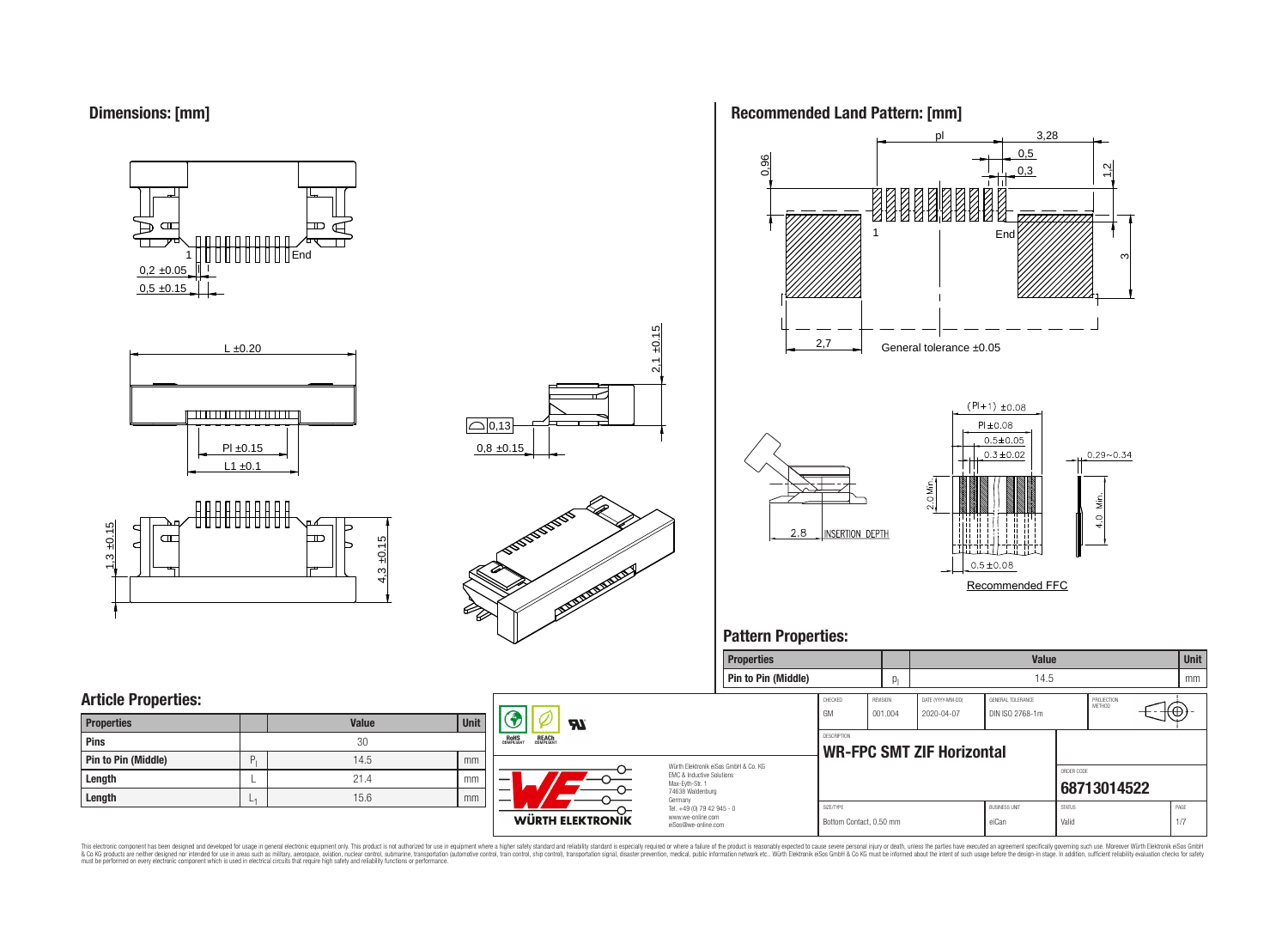

















## **Pattern Properties:**



This electronic component has been designed and developed for usage in general electronic equipment only. This product is not authorized for use in equipment where a higher safely standard and reliability standard si espec & Ook product a label and the membed of the seasuch as marked and as which such a membed and the such assume that income in the seasuch and the simulation and the such assume that include to the such a membed and the such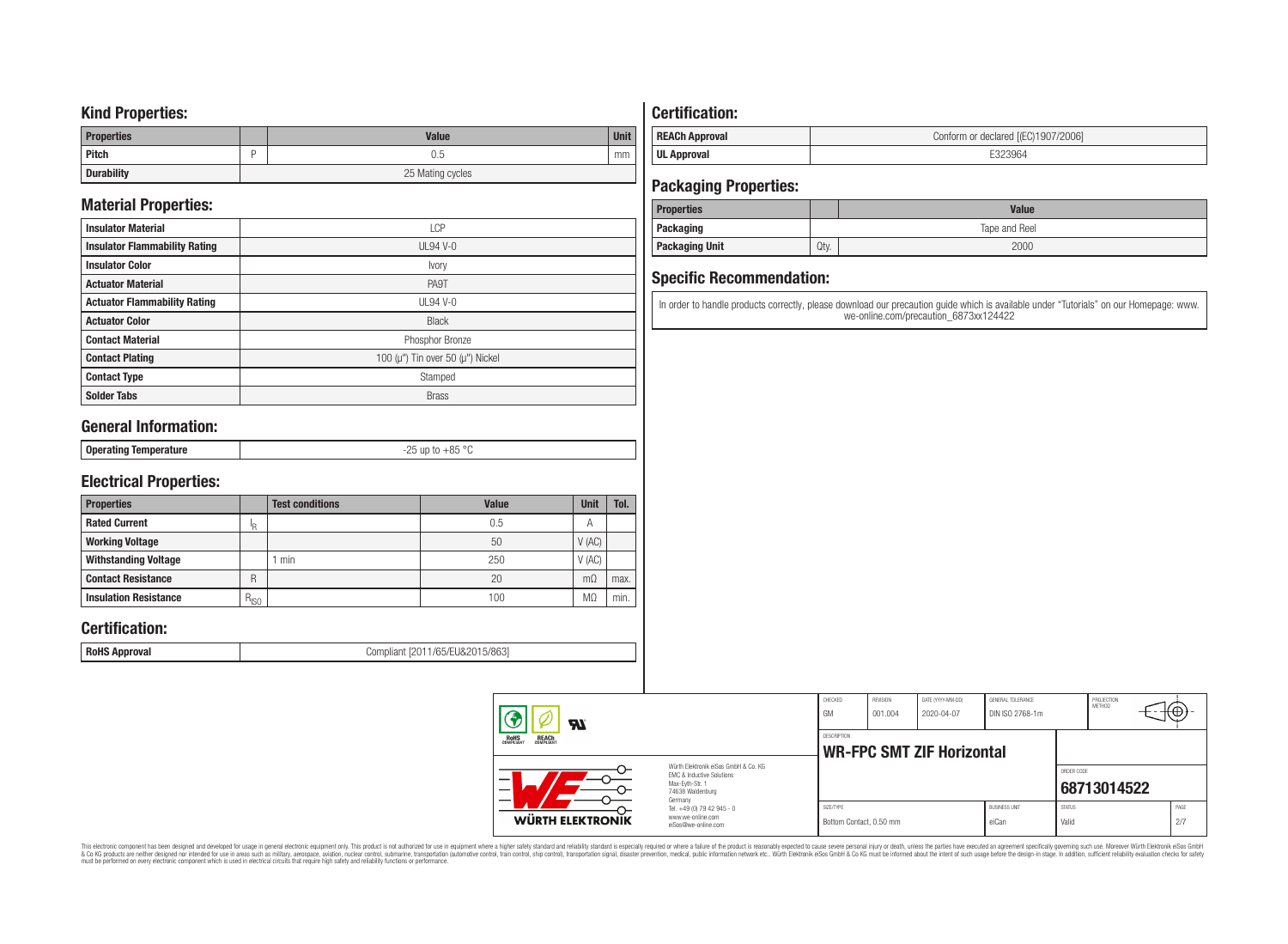## **Kind Properties:**

| <b>Properties</b> | <b>Value</b>     | <b>Unit</b> |  |  |
|-------------------|------------------|-------------|--|--|
| <b>Pitch</b>      | 0.5              | mm          |  |  |
| <b>Durability</b> | 25 Mating cycles |             |  |  |

## **Material Properties:**

| <b>Insulator Material</b>            | LCP                                          |
|--------------------------------------|----------------------------------------------|
| <b>Insulator Flammability Rating</b> | $UL94V-0$                                    |
| <b>Insulator Color</b>               | Ivory                                        |
| <b>Actuator Material</b>             | PA9T                                         |
| <b>Actuator Flammability Rating</b>  | UL94 V-0                                     |
| <b>Actuator Color</b>                | <b>Black</b>                                 |
| <b>Contact Material</b>              | Phosphor Bronze                              |
| <b>Contact Plating</b>               | 100 ( $\mu$ ") Tin over 50 ( $\mu$ ") Nickel |
| <b>Contact Type</b>                  | Stamped                                      |
| <b>Solder Tabs</b>                   | <b>Brass</b>                                 |

## **General Information:**

| Onerating<br>  oporuunig<br>$-$ - $-$ - $-$ | $\circ$<br>0E.<br>ח ר<br>$ -$<br>. |
|---------------------------------------------|------------------------------------|

## **Electrical Properties:**

| <b>Properties</b>            |           | <b>Test conditions</b> | Value | Unit           | Tol. |
|------------------------------|-----------|------------------------|-------|----------------|------|
| <b>Rated Current</b>         | םו        |                        | 0.5   | $\overline{A}$ |      |
| <b>Working Voltage</b>       |           |                        | 50    | V(AC)          |      |
| <b>Withstanding Voltage</b>  |           | min                    | 250   | V(AC)          |      |
| <b>Contact Resistance</b>    | R         |                        | 20    | $m\Omega$      | max. |
| <b>Insulation Resistance</b> | $R_{ISO}$ |                        | 100   | M <sub>2</sub> | min. |

## **Certification:**

**RoHS Approval RoHS Approval Compliant** [2011/65/EU&2015/863]

# **Certification:**

| <b>REACh Approval</b> | Conform or declared [(EC)1907/2006] |
|-----------------------|-------------------------------------|
| <b>UL Approval</b>    |                                     |

## **Packaging Properties:**

| <b>Properties</b>     |               | <b>Value</b> |  |  |
|-----------------------|---------------|--------------|--|--|
| Packaging             | Tape and Reel |              |  |  |
| <b>Packaging Unit</b> | Qty.          | 2000         |  |  |

## **Specific Recommendation:**

In order to handle products correctly, please download our precaution guide which is available under "Tutorials" on our Homepage: www. we-online.com/precaution\_6873xx124422

| Яï                                                    |                                                                                                          | CHECKED<br>GM                        | REVISION<br> 001.004             | DATE (YYYY-MM-DD)<br>2020-04-07 | GENERAL TOLERANCE<br>DIN ISO 2768-1m |                        | PROJECTION<br><b>METHOD</b> | -⊬⊕,        |
|-------------------------------------------------------|----------------------------------------------------------------------------------------------------------|--------------------------------------|----------------------------------|---------------------------------|--------------------------------------|------------------------|-----------------------------|-------------|
| <b>ROHS</b><br>COMPLIANT<br><b>REACH</b><br>COMPLIANT |                                                                                                          | <b>DESCRIPTION</b>                   | <b>WR-FPC SMT ZIF Horizontal</b> |                                 |                                      |                        |                             |             |
| –                                                     | Würth Flektronik eiSos GmbH & Co. KG<br>EMC & Inductive Solutions<br>Max-Evth-Str. 1<br>74638 Waldenburg |                                      |                                  |                                 |                                      | ORDER CODE             | 68713014522                 |             |
| WÜRTH ELEKTRONIK                                      | Germany<br>Tel. +49 (0) 79 42 945 - 0<br>www.we-online.com<br>eiSos@we-online.com                        | SIZE/TYPE<br>Bottom Contact, 0.50 mm |                                  |                                 | <b>BUSINESS UNIT</b><br>eiCan        | <b>STATUS</b><br>Valid |                             | PAGE<br>2/7 |

This electronic component has been designed and developed for usage in general electronic equipment only. This product is not authorized for subserved requipment where a higher selection equipment where a higher selection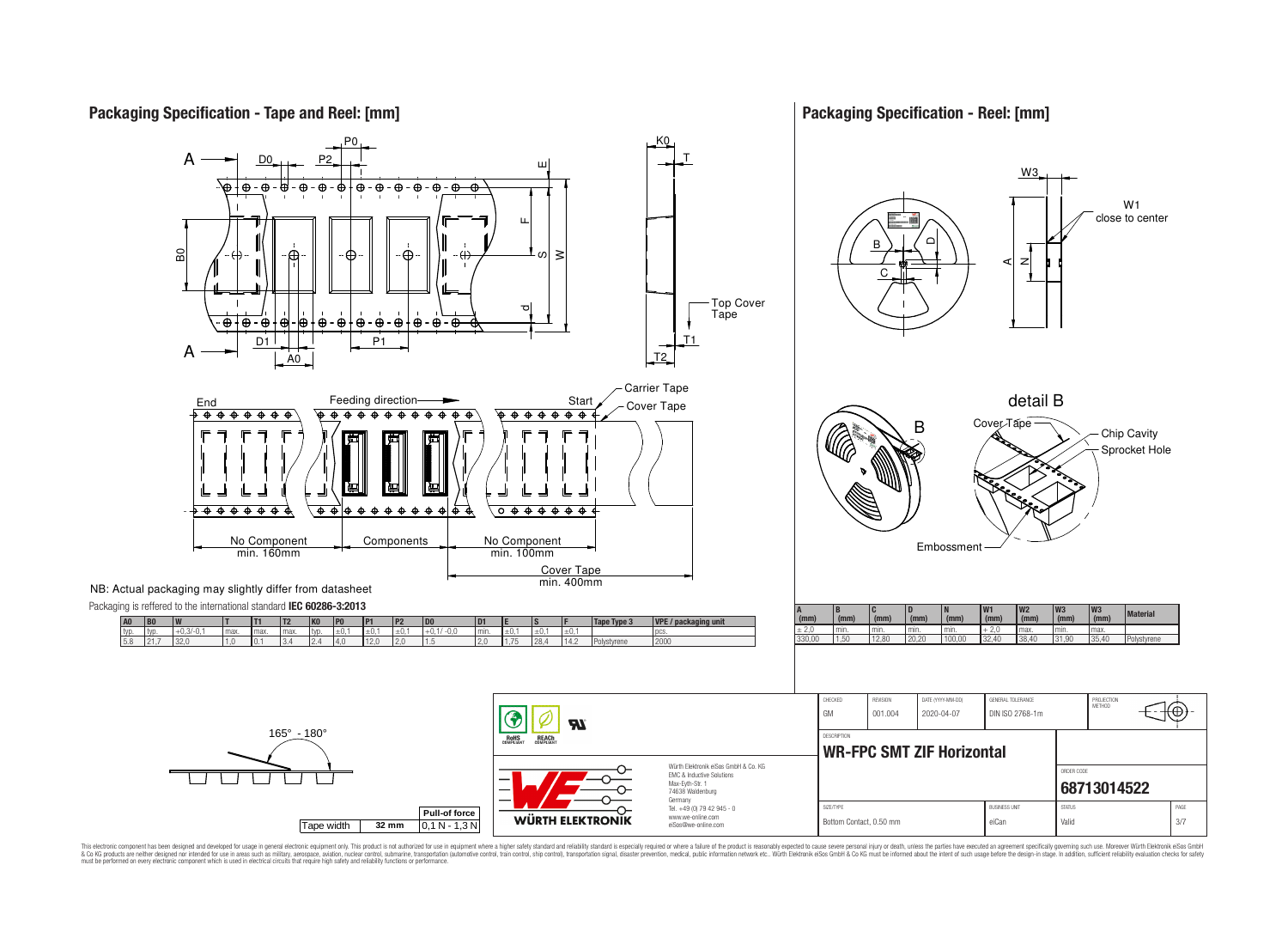## **Packaging Specification - Tape and Reel: [mm]**

## **Packaging Specification - Reel: [mm]**



This electronic component has been designed and developed for usage in general electronic equipment only. This product is not authorized for use in equipment where a higher safely standard and reliability standard si espec & Ook product a label and the membed of the seasuch as marked and as which such a membed and the such assume that income in the seasuch and the simulation and the such assume that include to the such a membed and the such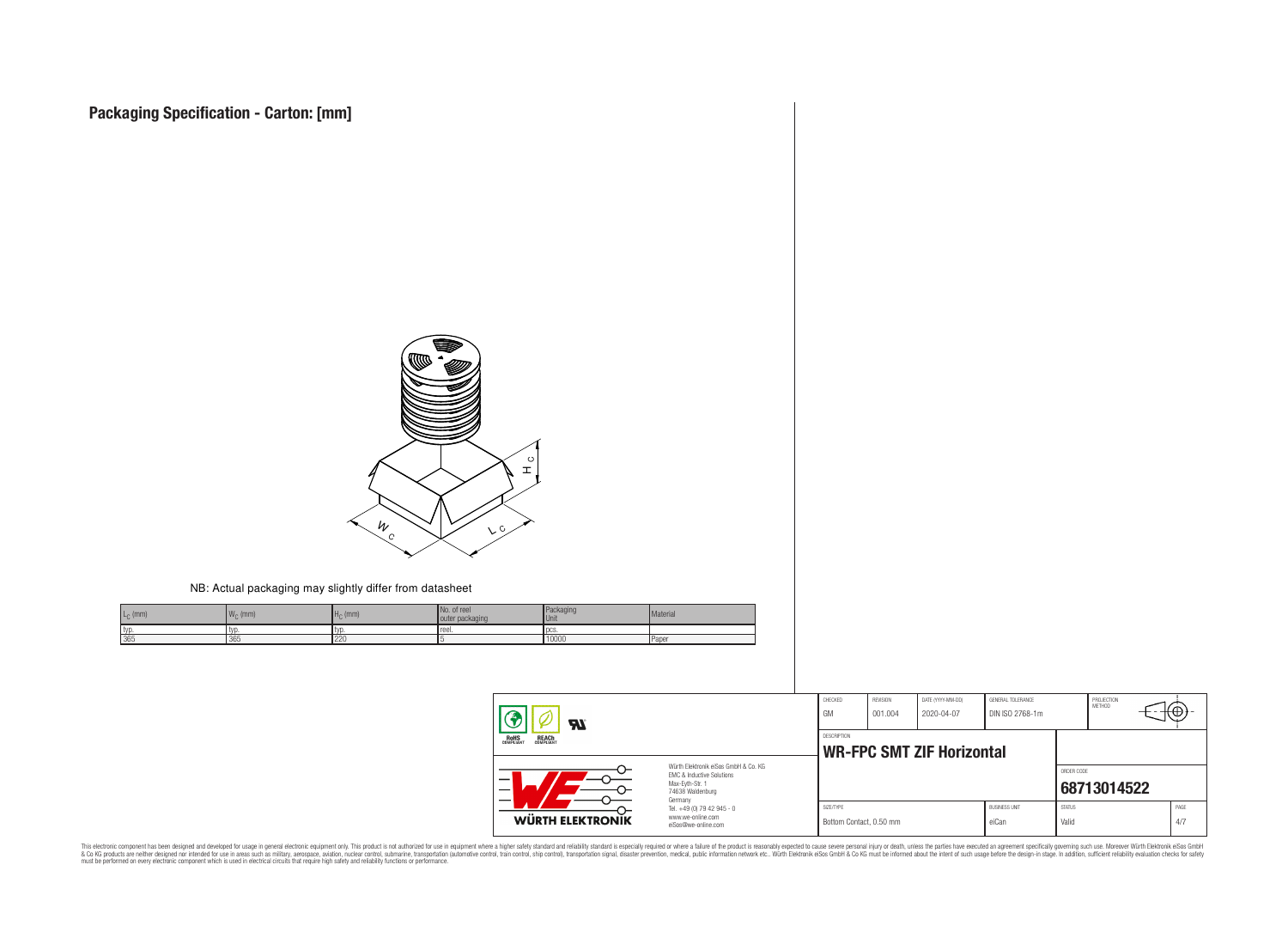

#### NB: Actual packaging may slightly differ from datasheet

| $L_{\rm C}$ (mm) | 144<br>$W_{\cap}$ (mm)<br>$\mathbf{L} \cdot \mathbf{L}$ | $Ho$ (mm) | No. of reel<br>outer packaging | Packaging<br>Unit | Material |
|------------------|---------------------------------------------------------|-----------|--------------------------------|-------------------|----------|
| I typ.           | typ                                                     | tvı       | Treel.                         | DCS.              |          |
| 365              | 365                                                     | 220       |                                | 10000             | l Paper  |

| $\boldsymbol{\mathcal{H}}$<br><b>ROHS</b><br>COMPLIANT<br><b>REACH</b><br>COMPLIANT<br>Würth Elektronik eiSos GmbH & Co. KG<br>EMC & Inductive Solutions<br>—<br>Max-Eyth-Str. 1<br>—<br>74638 Waldenburg |                                                                                   | CHECKED<br>GM                                          | <b>REVISION</b><br>001.004 | DATE (YYYY-MM-DD)<br>2020-04-07 | GENERAL TOLERANCE<br>DIN ISO 2768-1m |                        | PROJECTION<br>METHOD | tΦ          |  |
|-----------------------------------------------------------------------------------------------------------------------------------------------------------------------------------------------------------|-----------------------------------------------------------------------------------|--------------------------------------------------------|----------------------------|---------------------------------|--------------------------------------|------------------------|----------------------|-------------|--|
|                                                                                                                                                                                                           |                                                                                   | <b>DESCRIPTION</b><br><b>WR-FPC SMT ZIF Horizontal</b> |                            |                                 |                                      |                        |                      |             |  |
|                                                                                                                                                                                                           |                                                                                   |                                                        |                            |                                 |                                      | ORDER CODE             | 68713014522          |             |  |
| WÜRTH ELEKTRONIK                                                                                                                                                                                          | Germany<br>Tel. +49 (0) 79 42 945 - 0<br>www.we-online.com<br>eiSos@we-online.com | SIZE/TYPE<br>Bottom Contact, 0.50 mm                   |                            |                                 | <b>BUSINESS UNIT</b><br>eiCan        | <b>STATUS</b><br>Valid |                      | PAGE<br>4/7 |  |

This electronic component has been designed and developed for usage in general electronic equipment only. This product is not authorized for subserved requipment where a higher selection equipment where a higher selection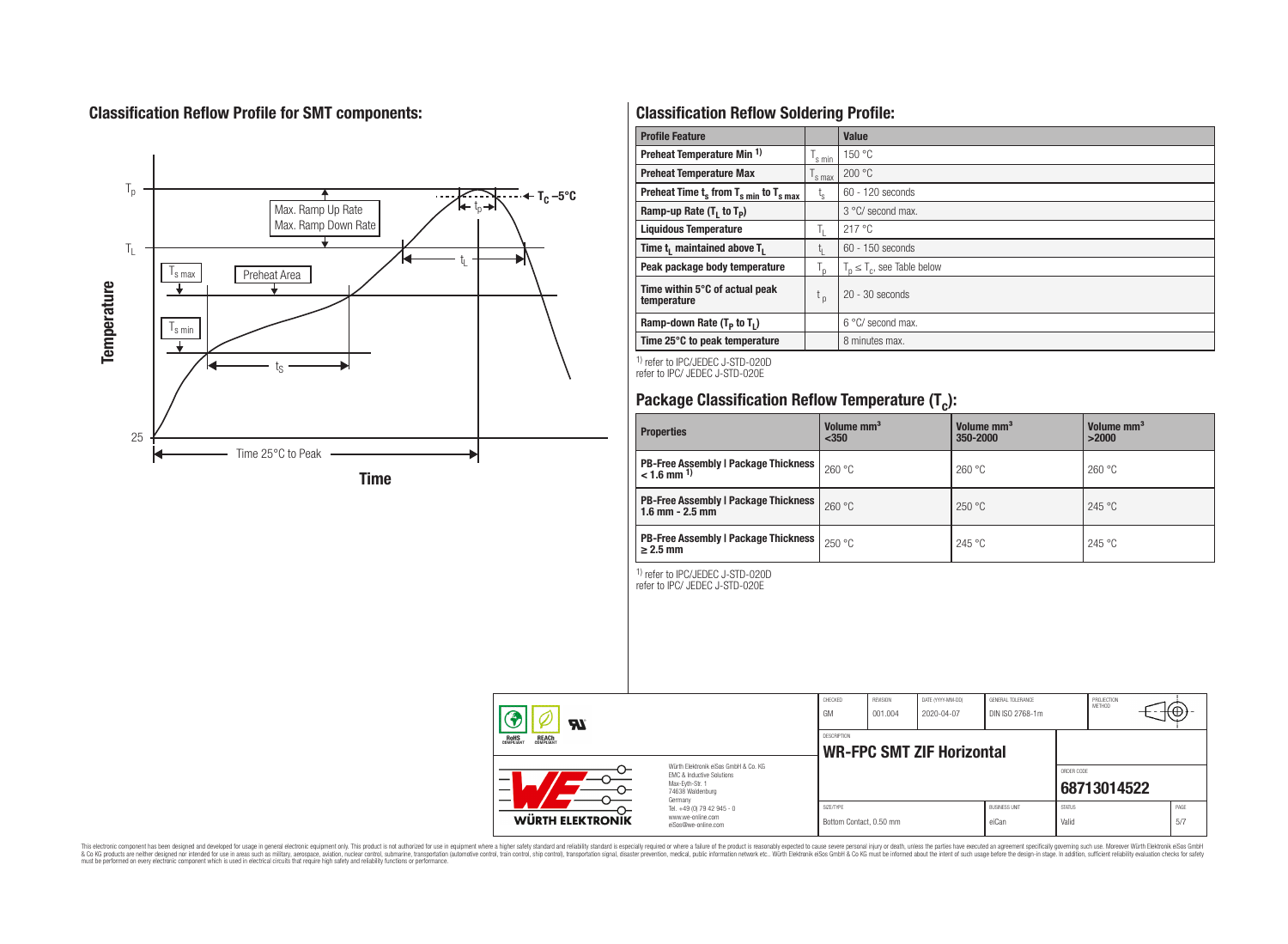# **Classification Reflow Profile for SMT components:**



# **Classification Reflow Soldering Profile:**

| <b>Profile Feature</b>                              |                    | Value                            |
|-----------------------------------------------------|--------------------|----------------------------------|
| Preheat Temperature Min <sup>1)</sup>               | <sup>I</sup> s min | 150 °C                           |
| <b>Preheat Temperature Max</b>                      | 's max             | 200 °C                           |
| Preheat Time $t_s$ from $T_{s,min}$ to $T_{s,max}$  | $t_{\rm s}$        | $60 - 120$ seconds               |
| Ramp-up Rate $(T_1$ to $T_p$ )                      |                    | 3 °C/ second max.                |
| <b>Liquidous Temperature</b>                        | Ь.                 | 217°C                            |
| Time t <sub>1</sub> maintained above T <sub>1</sub> | ь.                 | $60 - 150$ seconds               |
| Peak package body temperature                       | l n                | $T_n \leq T_c$ , see Table below |
| Time within 5°C of actual peak<br>temperature       | t <sub>p</sub>     | $20 - 30$ seconds                |
| Ramp-down Rate $(T_p$ to $T_1$ )                    |                    | $6^{\circ}$ C/ second max.       |
| Time 25°C to peak temperature                       |                    | 8 minutes max.                   |

1) refer to IPC/JEDEC J-STD-020D refer to IPC/ JEDEC J-STD-020E

# **Package Classification Reflow Temperature (T<sup>c</sup> ):**

| <b>Properties</b>                                                         | Volume mm <sup>3</sup><br>$350$ | Volume mm <sup>3</sup><br>350-2000 | Volume mm <sup>3</sup><br>>2000 |
|---------------------------------------------------------------------------|---------------------------------|------------------------------------|---------------------------------|
| <b>PB-Free Assembly   Package Thickness  </b><br>$< 1.6$ mm <sup>1)</sup> | 260 °C                          | 260 °C                             | 260 °C                          |
| <b>PB-Free Assembly   Package Thickness  </b><br>$1.6$ mm $- 2.5$ mm      | 260 °C                          | 250 °C                             | 245 °C                          |
| <b>PB-Free Assembly   Package Thickness  </b><br>$\geq$ 2.5 mm            | 250 °C                          | 245 °C                             | 245 °C                          |

1) refer to IPC/JEDEC J-STD-020D

refer to IPC/ JEDEC J-STD-020E

| Яī                                                    |                                                                                                                                                                                               | CHECKED<br>GM                                   | REVISION<br>001.004 | DATE (YYYY-MM-DD)<br>2020-04-07 | GENERAL TOLERANCE<br>DIN ISO 2768-1m |                        | PROJECTION<br>METHOD | ιťΨ |             |
|-------------------------------------------------------|-----------------------------------------------------------------------------------------------------------------------------------------------------------------------------------------------|-------------------------------------------------|---------------------|---------------------------------|--------------------------------------|------------------------|----------------------|-----|-------------|
| <b>ROHS</b><br>COMPLIANT<br><b>REACH</b><br>COMPLIANT |                                                                                                                                                                                               | DESCRIPTION<br><b>WR-FPC SMT ZIF Horizontal</b> |                     |                                 |                                      |                        |                      |     |             |
| _                                                     | Würth Elektronik eiSos GmbH & Co. KG<br>EMC & Inductive Solutions<br>Max-Evth-Str. 1<br>74638 Waldenburg<br>Germany<br>Tel. +49 (0) 79 42 945 - 0<br>www.we-online.com<br>eiSos@we-online.com |                                                 |                     |                                 |                                      | ORDER CODE             | 68713014522          |     |             |
| <b>WÜRTH ELEKTRONIK</b>                               |                                                                                                                                                                                               | SIZE/TYPE<br>Bottom Contact, 0.50 mm            |                     |                                 | <b>BUSINESS UNIT</b><br>eiCan        | <b>STATUS</b><br>Valid |                      |     | PAGE<br>5/7 |

This electronic component has been designed and developed for usage in general electronic equipment only. This product is not authorized for subserved requipment where a higher selection equipment where a higher selection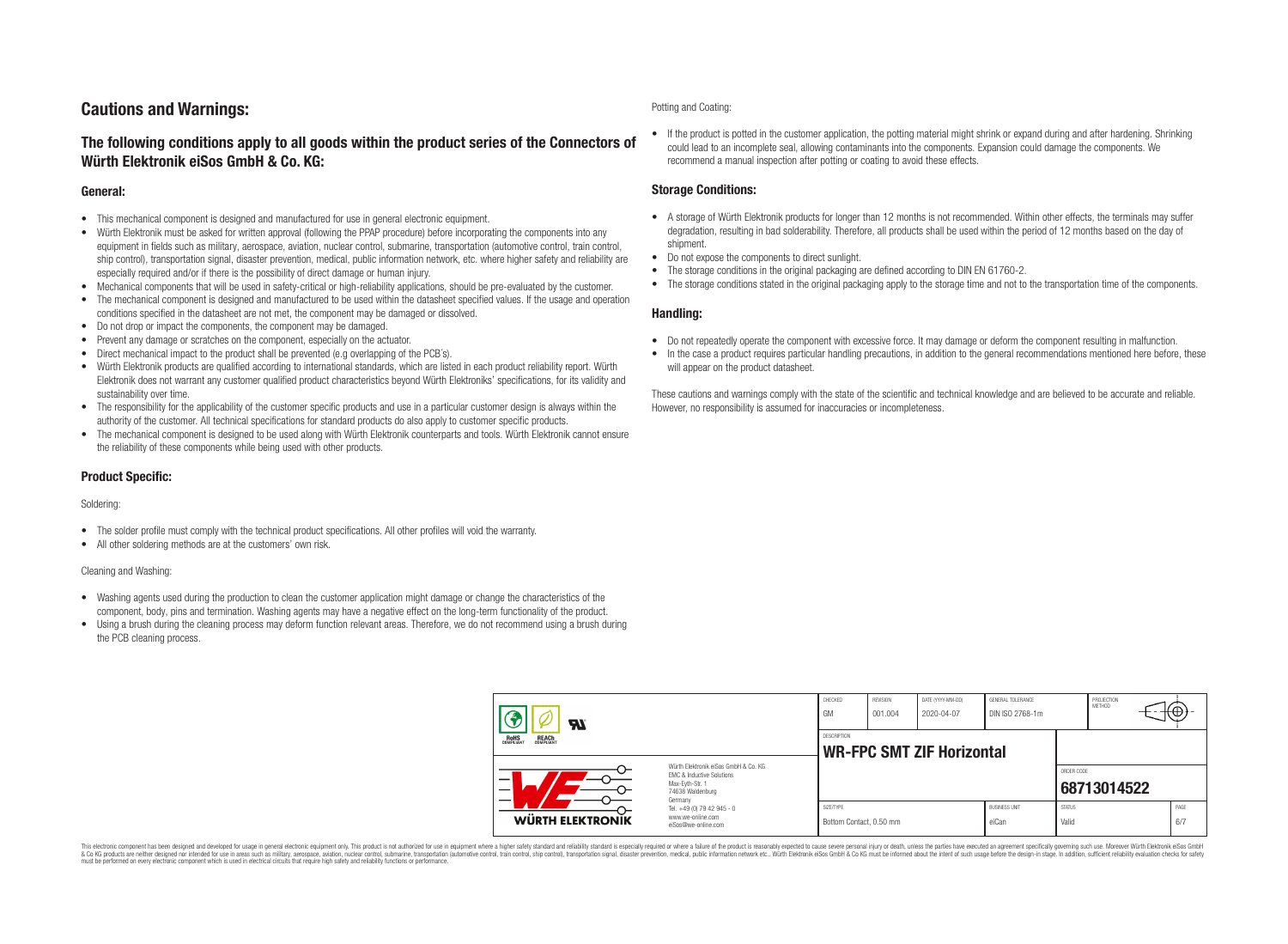## **Cautions and Warnings:**

## **The following conditions apply to all goods within the product series of the Connectors of Würth Elektronik eiSos GmbH & Co. KG:**

#### **General:**

- This mechanical component is designed and manufactured for use in general electronic equipment.
- Würth Elektronik must be asked for written approval (following the PPAP procedure) before incorporating the components into any equipment in fields such as military, aerospace, aviation, nuclear control, submarine, transportation (automotive control, train control, ship control), transportation signal, disaster prevention, medical, public information network, etc. where higher safety and reliability are especially required and/or if there is the possibility of direct damage or human injury.
- Mechanical components that will be used in safety-critical or high-reliability applications, should be pre-evaluated by the customer.
- The mechanical component is designed and manufactured to be used within the datasheet specified values. If the usage and operation conditions specified in the datasheet are not met, the component may be damaged or dissolved.
- Do not drop or impact the components, the component may be damaged.
- Prevent any damage or scratches on the component, especially on the actuator.
- Direct mechanical impact to the product shall be prevented (e.g overlapping of the PCB's).
- Würth Elektronik products are qualified according to international standards, which are listed in each product reliability report. Würth Elektronik does not warrant any customer qualified product characteristics beyond Würth Elektroniks' specifications, for its validity and sustainability over time.
- The responsibility for the applicability of the customer specific products and use in a particular customer design is always within the authority of the customer. All technical specifications for standard products do also apply to customer specific products.
- The mechanical component is designed to be used along with Würth Elektronik counterparts and tools. Würth Elektronik cannot ensure the reliability of these components while being used with other products.

#### **Product Specific:**

#### Soldering:

- The solder profile must comply with the technical product specifications. All other profiles will void the warranty.
- All other soldering methods are at the customers' own risk.

#### Cleaning and Washing:

- Washing agents used during the production to clean the customer application might damage or change the characteristics of the component, body, pins and termination. Washing agents may have a negative effect on the long-term functionality of the product.
- Using a brush during the cleaning process may deform function relevant areas. Therefore, we do not recommend using a brush during the PCB cleaning process.

#### Potting and Coating:

• If the product is potted in the customer application, the potting material might shrink or expand during and after hardening. Shrinking could lead to an incomplete seal, allowing contaminants into the components. Expansion could damage the components. We recommend a manual inspection after potting or coating to avoid these effects.

#### **Storage Conditions:**

- A storage of Würth Elektronik products for longer than 12 months is not recommended. Within other effects, the terminals may suffer degradation, resulting in bad solderability. Therefore, all products shall be used within the period of 12 months based on the day of shipment.
- Do not expose the components to direct sunlight.
- The storage conditions in the original packaging are defined according to DIN EN 61760-2.
- The storage conditions stated in the original packaging apply to the storage time and not to the transportation time of the components.

#### **Handling:**

- Do not repeatedly operate the component with excessive force. It may damage or deform the component resulting in malfunction.
- In the case a product requires particular handling precautions, in addition to the general recommendations mentioned here before, these will appear on the product datasheet.

These cautions and warnings comply with the state of the scientific and technical knowledge and are believed to be accurate and reliable. However, no responsibility is assumed for inaccuracies or incompleteness.

| Hī                                                                                                                                                                         |                                                                        | CHECKED<br>GM                                          | REVISION<br>001.004 | DATE (YYYY-MM-DD)<br>2020-04-07 | GENERAL TOLERANCE<br>DIN ISO 2768-1m |                           | PROJECTION<br><b>METHOD</b> |  | ₩           |
|----------------------------------------------------------------------------------------------------------------------------------------------------------------------------|------------------------------------------------------------------------|--------------------------------------------------------|---------------------|---------------------------------|--------------------------------------|---------------------------|-----------------------------|--|-------------|
| ROHS<br>COMPLIANT<br><b>REACH</b><br>COMPLIANT<br>Würth Flektronik eiSos GmbH & Co. KG<br>FMC & Inductive Solutions<br>–<br>Max-Eyth-Str. 1<br>74638 Waldenburg<br>Germany |                                                                        | <b>DESCRIPTION</b><br><b>WR-FPC SMT ZIF Horizontal</b> |                     |                                 |                                      |                           |                             |  |             |
|                                                                                                                                                                            |                                                                        |                                                        |                     |                                 |                                      | ORDER CODE<br>68713014522 |                             |  |             |
| WÜRTH ELEKTRONIK                                                                                                                                                           | Tel. +49 (0) 79 42 945 - 0<br>www.we-online.com<br>eiSos@we-online.com | SIZE/TYPE<br>Bottom Contact, 0.50 mm                   |                     |                                 | <b>BUSINESS UNIT</b><br>eiCan        | <b>STATUS</b><br>Valid    |                             |  | PAGE<br>6/7 |

This electronic component has been designed and developed for usage in general electronic equipment only. This product is not authorized for use in equipment where a higher safety standard and reliability standard si espec & Ook product a label and the membed of the seasuch as marked and as which such a membed and the such assume that income in the seasuch and the simulation and the such assume that include to the such a membed and the such